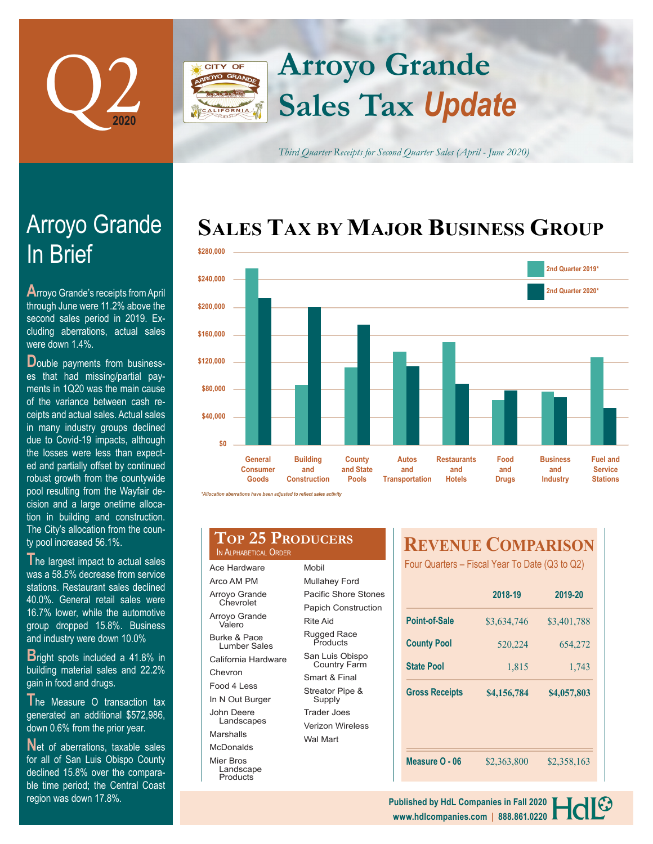

# **Arroyo Grande CITY OF Sales Tax** *Update*

*Third Quarter Receipts for Second Quarter Sales (April - June 2020)*

# **SALES TAX BY MAJOR BUSINESS GROUP**



*\*Allocation aberrations have been adjusted to reflect sales activity*

|  | TOP 25 PRODU           |
|--|------------------------|
|  | IN ALPHABETICAL ORDER' |

Ace Hardware Arco AM PM Arroyo Grande Chevrolet Arroyo Grande Valero Burke & Pace Lumber Sales California Hardwar Chevron Food 4 Less In N Out Burger John Deere Landscapes Marshalls McDonalds Mier Bros Landscape

**Products** 

| DER |                                        |  |  |  |
|-----|----------------------------------------|--|--|--|
|     | Mobil                                  |  |  |  |
|     | Mullahey Ford                          |  |  |  |
|     | Pacific Shore Stones                   |  |  |  |
|     | <b>Papich Construction</b>             |  |  |  |
|     | Rite Aid                               |  |  |  |
|     | Rugged Race<br>Products                |  |  |  |
| e   | San Luis Obispo<br><b>Country Farm</b> |  |  |  |
|     | Smart & Final                          |  |  |  |
|     | Streator Pipe &<br>Supply              |  |  |  |
|     | Trader Joes                            |  |  |  |
|     | Verizon Wireless                       |  |  |  |
|     | Wal Mart                               |  |  |  |

**JCERS** 

## **REVENUE COMPARISON**

Four Quarters – Fiscal Year To Date (Q3 to Q2)

|                       | 2018-19     | 2019-20     |  |
|-----------------------|-------------|-------------|--|
| Point-of-Sale         | \$3,634,746 | \$3,401,788 |  |
| <b>County Pool</b>    | 520,224     | 654,272     |  |
| <b>State Pool</b>     | 1,815       | 1,743       |  |
| <b>Gross Receipts</b> | \$4,156,784 | \$4,057,803 |  |
|                       |             |             |  |
|                       |             |             |  |
| Measure O - 06        | \$2,363,800 | \$2,358,163 |  |

# In Brief Arroyo Grande

**A**rroyo Grande's receipts from April through June were 11.2% above the second sales period in 2019. Excluding aberrations, actual sales were down 1.4%.

**D**ouble payments from businesses that had missing/partial payments in 1Q20 was the main cause of the variance between cash receipts and actual sales. Actual sales in many industry groups declined due to Covid-19 impacts, although the losses were less than expected and partially offset by continued robust growth from the countywide pool resulting from the Wayfair decision and a large onetime allocation in building and construction. The City's allocation from the county pool increased 56.1%.

**T**he largest impact to actual sales was a 58.5% decrease from service stations. Restaurant sales declined 40.0%. General retail sales were 16.7% lower, while the automotive group dropped 15.8%. Business and industry were down 10.0%

**B**right spots included a 41.8% in building material sales and 22.2% gain in food and drugs.

**T**he Measure O transaction tax generated an additional \$572,986, down 0.6% from the prior year.

**N**et of aberrations, taxable sales for all of San Luis Obispo County declined 15.8% over the comparable time period; the Central Coast region was down 17.8%.